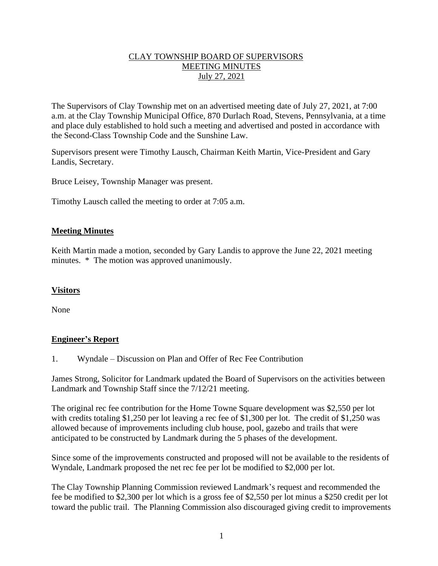## CLAY TOWNSHIP BOARD OF SUPERVISORS MEETING MINUTES July 27, 2021

The Supervisors of Clay Township met on an advertised meeting date of July 27, 2021, at 7:00 a.m. at the Clay Township Municipal Office, 870 Durlach Road, Stevens, Pennsylvania, at a time and place duly established to hold such a meeting and advertised and posted in accordance with the Second-Class Township Code and the Sunshine Law.

Supervisors present were Timothy Lausch, Chairman Keith Martin, Vice-President and Gary Landis, Secretary.

Bruce Leisey, Township Manager was present.

Timothy Lausch called the meeting to order at 7:05 a.m.

### **Meeting Minutes**

Keith Martin made a motion, seconded by Gary Landis to approve the June 22, 2021 meeting minutes. \* The motion was approved unanimously.

#### **Visitors**

None

#### **Engineer's Report**

1. Wyndale – Discussion on Plan and Offer of Rec Fee Contribution

James Strong, Solicitor for Landmark updated the Board of Supervisors on the activities between Landmark and Township Staff since the 7/12/21 meeting.

The original rec fee contribution for the Home Towne Square development was \$2,550 per lot with credits totaling \$1,250 per lot leaving a rec fee of \$1,300 per lot. The credit of \$1,250 was allowed because of improvements including club house, pool, gazebo and trails that were anticipated to be constructed by Landmark during the 5 phases of the development.

Since some of the improvements constructed and proposed will not be available to the residents of Wyndale, Landmark proposed the net rec fee per lot be modified to \$2,000 per lot.

The Clay Township Planning Commission reviewed Landmark's request and recommended the fee be modified to \$2,300 per lot which is a gross fee of \$2,550 per lot minus a \$250 credit per lot toward the public trail. The Planning Commission also discouraged giving credit to improvements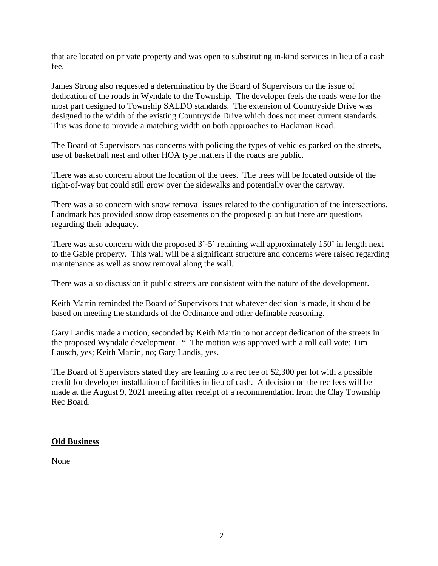that are located on private property and was open to substituting in-kind services in lieu of a cash fee.

James Strong also requested a determination by the Board of Supervisors on the issue of dedication of the roads in Wyndale to the Township. The developer feels the roads were for the most part designed to Township SALDO standards. The extension of Countryside Drive was designed to the width of the existing Countryside Drive which does not meet current standards. This was done to provide a matching width on both approaches to Hackman Road.

The Board of Supervisors has concerns with policing the types of vehicles parked on the streets, use of basketball nest and other HOA type matters if the roads are public.

There was also concern about the location of the trees. The trees will be located outside of the right-of-way but could still grow over the sidewalks and potentially over the cartway.

There was also concern with snow removal issues related to the configuration of the intersections. Landmark has provided snow drop easements on the proposed plan but there are questions regarding their adequacy.

There was also concern with the proposed 3'-5' retaining wall approximately 150' in length next to the Gable property. This wall will be a significant structure and concerns were raised regarding maintenance as well as snow removal along the wall.

There was also discussion if public streets are consistent with the nature of the development.

Keith Martin reminded the Board of Supervisors that whatever decision is made, it should be based on meeting the standards of the Ordinance and other definable reasoning.

Gary Landis made a motion, seconded by Keith Martin to not accept dedication of the streets in the proposed Wyndale development. \* The motion was approved with a roll call vote: Tim Lausch, yes; Keith Martin, no; Gary Landis, yes.

The Board of Supervisors stated they are leaning to a rec fee of \$2,300 per lot with a possible credit for developer installation of facilities in lieu of cash. A decision on the rec fees will be made at the August 9, 2021 meeting after receipt of a recommendation from the Clay Township Rec Board.

#### **Old Business**

None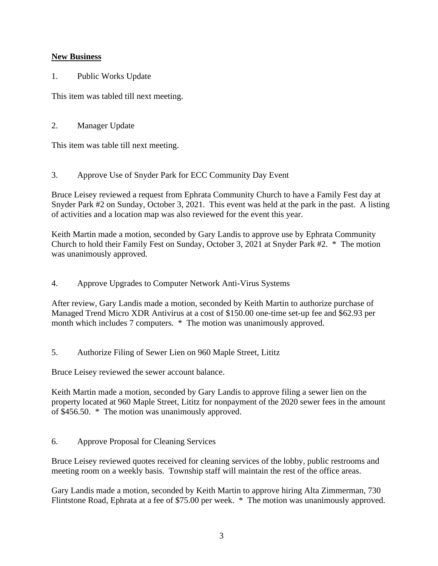# **New Business**

1. Public Works Update

This item was tabled till next meeting.

2. Manager Update

This item was table till next meeting.

3. Approve Use of Snyder Park for ECC Community Day Event

Bruce Leisey reviewed a request from Ephrata Community Church to have a Family Fest day at Snyder Park #2 on Sunday, October 3, 2021. This event was held at the park in the past. A listing of activities and a location map was also reviewed for the event this year.

Keith Martin made a motion, seconded by Gary Landis to approve use by Ephrata Community Church to hold their Family Fest on Sunday, October 3, 2021 at Snyder Park #2. \* The motion was unanimously approved.

4. Approve Upgrades to Computer Network Anti-Virus Systems

After review, Gary Landis made a motion, seconded by Keith Martin to authorize purchase of Managed Trend Micro XDR Antivirus at a cost of \$150.00 one-time set-up fee and \$62.93 per month which includes 7 computers. \* The motion was unanimously approved.

5. Authorize Filing of Sewer Lien on 960 Maple Street, Lititz

Bruce Leisey reviewed the sewer account balance.

Keith Martin made a motion, seconded by Gary Landis to approve filing a sewer lien on the property located at 960 Maple Street, Lititz for nonpayment of the 2020 sewer fees in the amount of \$456.50. \* The motion was unanimously approved.

6. Approve Proposal for Cleaning Services

Bruce Leisey reviewed quotes received for cleaning services of the lobby, public restrooms and meeting room on a weekly basis. Township staff will maintain the rest of the office areas.

Gary Landis made a motion, seconded by Keith Martin to approve hiring Alta Zimmerman, 730 Flintstone Road, Ephrata at a fee of \$75.00 per week. \* The motion was unanimously approved.